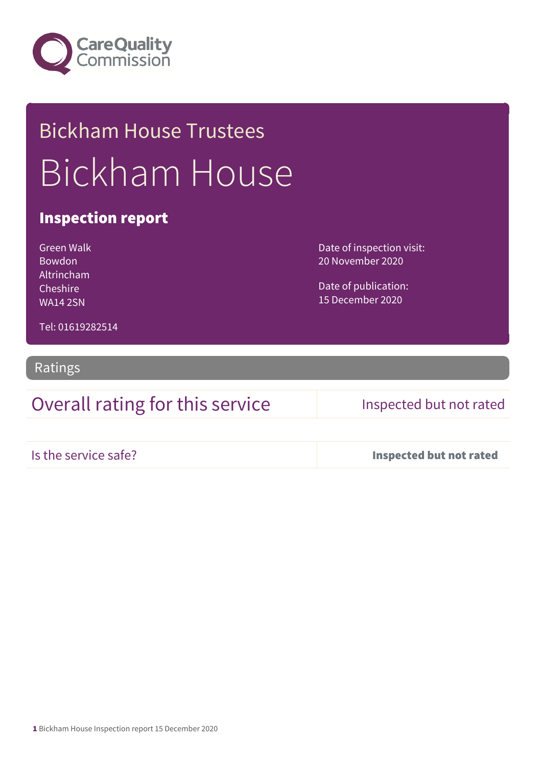

# Bickham House Trustees Bickham House

### Inspection report

Green Walk Bowdon Altrincham Cheshire WA14 2SN

Date of inspection visit: 20 November 2020

Date of publication: 15 December 2020

Tel: 01619282514

Ratings

Overall rating for this service Inspected but not rated

Is the service safe? Inspected but not rated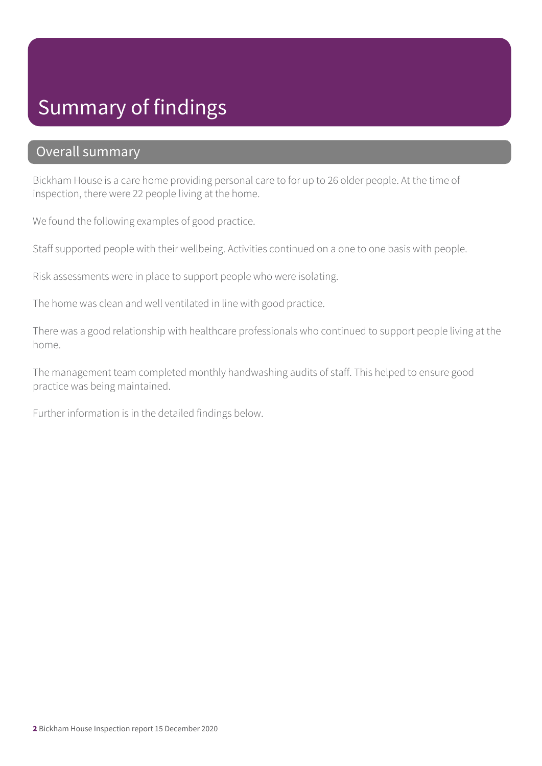# Summary of findings

### Overall summary

Bickham House is a care home providing personal care to for up to 26 older people. At the time of inspection, there were 22 people living at the home.

We found the following examples of good practice.

Staff supported people with their wellbeing. Activities continued on a one to one basis with people.

Risk assessments were in place to support people who were isolating.

The home was clean and well ventilated in line with good practice.

There was a good relationship with healthcare professionals who continued to support people living at the home.

The management team completed monthly handwashing audits of staff. This helped to ensure good practice was being maintained.

Further information is in the detailed findings below.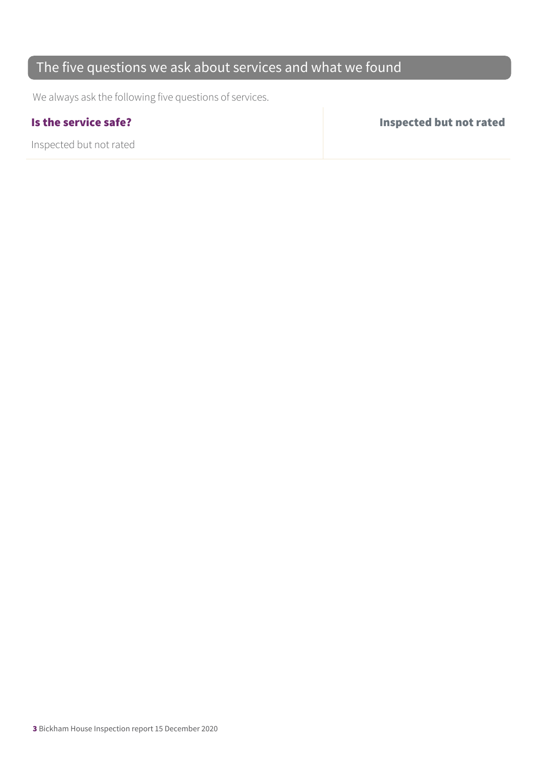### The five questions we ask about services and what we found

We always ask the following five questions of services.

Inspected but not rated

Is the service safe? Inspected but not rated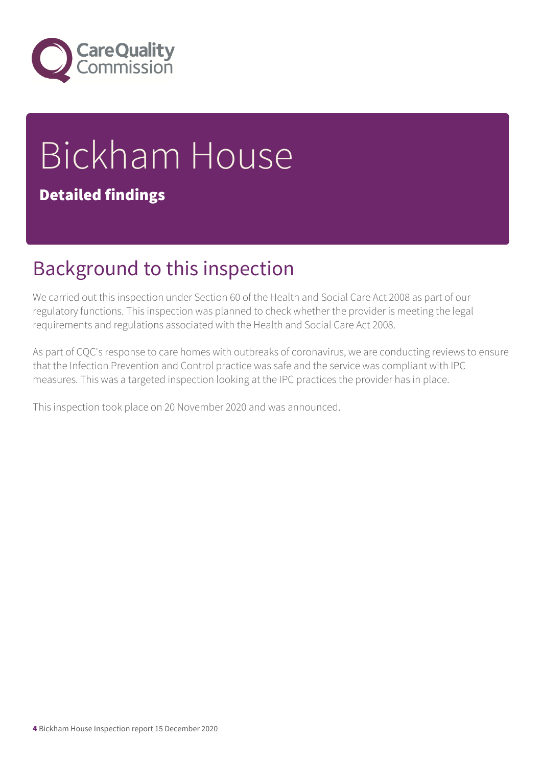

# Bickham House

### Detailed findings

# Background to this inspection

We carried out this inspection under Section 60 of the Health and Social Care Act 2008 as part of our regulatory functions. This inspection was planned to check whether the provider is meeting the legal requirements and regulations associated with the Health and Social Care Act 2008.

As part of CQC's response to care homes with outbreaks of coronavirus, we are conducting reviews to ensure that the Infection Prevention and Control practice was safe and the service was compliant with IPC measures. This was a targeted inspection looking at the IPC practices the provider has in place.

This inspection took place on 20 November 2020 and was announced.